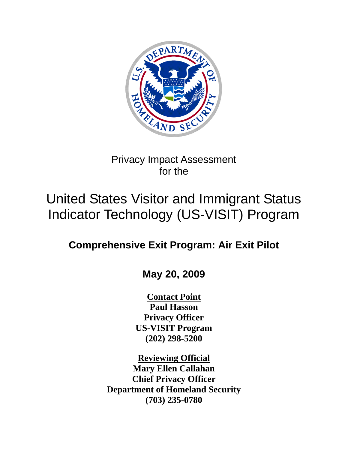

## Privacy Impact Assessment for the

# United States Visitor and Immigrant Status Indicator Technology (US-VISIT) Program

## **Comprehensive Exit Program: Air Exit Pilot**

## **May 20, 2009**

**Contact Point Paul Hasson Privacy Officer US-VISIT Program (202) 298-5200** 

**Reviewing Official Mary Ellen Callahan Chief Privacy Officer Department of Homeland Security (703) 235-0780**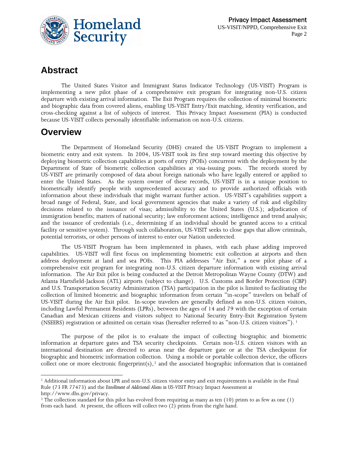

## **Abstract**

The United States Visitor and Immigrant Status Indicator Technology (US-VISIT) Program is implementing a new pilot phase of a comprehensive exit program for integrating non-U.S. citizen departure with existing arrival information. The Exit Program requires the collection of minimal biometric and biographic data from covered aliens, enabling US-VISIT Entry/Exit matching, identity verification, and cross-checking against a list of subjects of interest. This Privacy Impact Assessment (PIA) is conducted because US-VISIT collects personally identifiable information on non-U.S. citizens.

#### **Overview**

 $\overline{a}$ 

The Department of Homeland Security (DHS) created the US-VISIT Program to implement a biometric entry and exit system. In 2004, US-VISIT took its first step toward meeting this objective by deploying biometric collection capabilities at ports of entry (POEs) concurrent with the deployment by the Department of State of biometric collection capabilities at visa-issuing posts. The records stored by US-VISIT are primarily composed of data about foreign nationals who have legally entered or applied to enter the United States. As the system owner of these records, US-VISIT is in a unique position to biometrically identify people with unprecedented accuracy and to provide authorized officials with information about these individuals that might warrant further action. US-VISIT's capabilities support a broad range of Federal, State, and local government agencies that make a variety of risk and eligibility decisions related to the issuance of visas; admissibility to the United States (U.S.); adjudication of immigration benefits; matters of national security; law enforcement actions; intelligence and trend analysis; and the issuance of credentials (i.e., determining if an individual should be granted access to a critical facility or sensitive system). Through such collaboration, US-VISIT seeks to close gaps that allow criminals, potential terrorists, or other persons of interest to enter our Nation undetected.

The US-VISIT Program has been implemented in phases, with each phase adding improved capabilities. US-VISIT will first focus on implementing biometric exit collection at airports and then address deployment at land and sea POEs. This PIA addresses "Air Exit," a new pilot phase of a comprehensive exit program for integrating non-U.S. citizen departure information with existing arrival information. The Air Exit pilot is being conducted at the Detroit Metropolitan Wayne County (DTW) and Atlanta Hartsfield-Jackson (ATL) airports (subject to change). U.S. Customs and Border Protection (CBP) and U.S. Transportation Security Administration (TSA) participation in the pilot is limited to facilitating the collection of limited biometric and biographic information from certain "in-scope" travelers on behalf of US-VISIT during the Air Exit pilot. In-scope travelers are generally defined as non-U.S. citizen visitors, including Lawful Permanent Residents (LPRs), between the ages of 14 and 79 with the exception of certain Canadian and Mexican citizens and visitors subject to National Security Entry-Exit Registration System (NSEERS) registration or admitted on certain visas (hereafter referred to as "non-U.S. citizen visitors"). [1](#page-1-0)

The purpose of the pilot is to evaluate the impact of collecting biographic and biometric information at departure gates and TSA security checkpoints. Certain non-U.S. citizen visitors with an international destination are directed to areas near the departure gate or at the TSA checkpoint for biographic and biometric information collection. Using a mobile or portable collection device, the officers collect one or more electronic fingerprint $(s)$ ,<sup>[2](#page-1-1)</sup> and the associated biographic information that is contained

<span id="page-1-0"></span><sup>&</sup>lt;sup>1</sup> Additional information about LPR and non-U.S. citizen visitor entry and exit requirements is available in the Final Rule (73 FR 77473) and the *Enrollment of Additional Aliens in US-VISIT* Privacy Impact Assessment at http:/[/www.dhs.gov/privacy](http://www.dhs.gov/privacy).<br><sup>2</sup> The collection standard for this pilot has evolved from requiring as many as ten (10) prints to as few as one (1)

<span id="page-1-1"></span>from each hand. At present, the officers will collect two (2) prints from the right hand.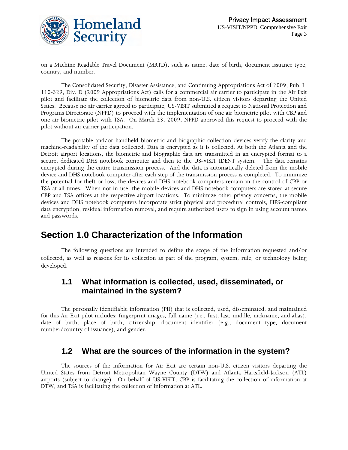

on a Machine Readable Travel Document (MRTD), such as name, date of birth, document issuance type, country, and number.

The Consolidated Security, Disaster Assistance, and Continuing Appropriations Act of 2009, Pub. L. 110-329, Div. D (2009 Appropriations Act) calls for a commercial air carrier to participate in the Air Exit pilot and facilitate the collection of biometric data from non-U.S. citizen visitors departing the United States. Because no air carrier agreed to participate, US-VISIT submitted a request to National Protection and Programs Directorate (NPPD) to proceed with the implementation of one air biometric pilot with CBP and one air biometric pilot with TSA. On March 23, 2009, NPPD approved this request to proceed with the pilot without air carrier participation.

The portable and/or handheld biometric and biographic collection devices verify the clarity and machine-readability of the data collected. Data is encrypted as it is collected. At both the Atlanta and the Detroit airport locations, the biometric and biographic data are transmitted in an encrypted format to a secure, dedicated DHS notebook computer and then to the US-VISIT IDENT system. The data remains encrypted during the entire transmission process. And the data is automatically deleted from the mobile device and DHS notebook computer after each step of the transmission process is completed. To minimize the potential for theft or loss, the devices and DHS notebook computers remain in the control of CBP or TSA at all times. When not in use, the mobile devices and DHS notebook computers are stored at secure CBP and TSA offices at the respective airport locations. To minimize other privacy concerns, the mobile devices and DHS notebook computers incorporate strict physical and procedural controls, FIPS-compliant data encryption, residual information removal, and require authorized users to sign in using account names and passwords.

### **Section 1.0 Characterization of the Information**

The following questions are intended to define the scope of the information requested and/or collected, as well as reasons for its collection as part of the program, system, rule, or technology being developed.

#### **1.1 What information is collected, used, disseminated, or maintained in the system?**

The personally identifiable information (PII) that is collected, used, disseminated, and maintained for this Air Exit pilot includes: fingerprint images, full name (i.e., first, last, middle, nickname, and alias), date of birth, place of birth, citizenship, document identifier (e.g., document type, document number/country of issuance), and gender.

#### **1.2 What are the sources of the information in the system?**

The sources of the information for Air Exit are certain non-U.S. citizen visitors departing the United States from Detroit Metropolitan Wayne County (DTW) and Atlanta Hartsfield-Jackson (ATL) airports (subject to change). On behalf of US-VISIT, CBP is facilitating the collection of information at DTW, and TSA is facilitating the collection of information at ATL.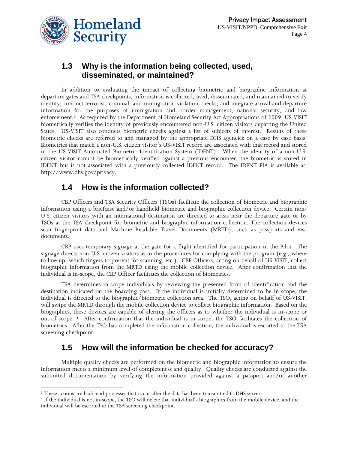

#### **1.3 Why is the information being collected, used, disseminated, or maintained?**

In addition to evaluating the impact of collecting biometric and biographic information at departure gates and TSA checkpoints, information is collected, used, disseminated, and maintained to verify identity; conduct terrorist, criminal, and immigration violation checks; and integrate arrival and departure information for the purposes of immigration and border management, national security, and law enforcement.[3](#page-3-0) As required by the Department of Homeland Security Act Appropriations of 2009, US-VISIT biometrically verifies the identity of previously encountered non-U.S. citizen visitors departing the United States. US-VISIT also conducts biometric checks against a list of subjects of interest. Results of these biometric checks are referred to and managed by the appropriate DHS agencies on a case by case basis. Biometrics that match a non-U.S. citizen visitor's US-VISIT record are associated with that record and stored in the US-VISIT Automated Biometric Identification System (IDENT). When the identity of a non-U.S. citizen visitor cannot be biometrically verified against a previous encounter, the biometric is stored in IDENT but is not associated with a previously collected IDENT record. The IDENT PIA is available at: http://[www.dhs.gov/privacy.](http://www.dhs.gov/privacy)

#### **1.4 How is the information collected?**

CBP Officers and TSA Security Officers (TSOs) facilitate the collection of biometric and biographic information using a briefcase and/or handheld biometric and biographic collection device. Certain non-U.S. citizen visitors with an international destination are directed to areas near the departure gate or by TSOs at the TSA checkpoint for biometric and biographic information collection. The collection devices scan fingerprint data and Machine Readable Travel Documents (MRTD), such as passports and visa documents.

CBP uses temporary signage at the gate for a flight identified for participation in the Pilot. The signage directs non-U.S. citizen visitors as to the procedures for complying with the program (e.g., where to line up, which fingers to present for scanning, etc.). CBP Officers, acting on behalf of US-VISIT, collect biographic information from the MRTD using the mobile collection device. After confirmation that the individual is in-scope, the CBP Officer facilitates the collection of biometrics.

TSA determines in-scope individuals by reviewing the presented form of identification and the destination indicated on the boarding pass. If the individual is initially determined to be in-scope, the individual is directed to the biographic/biometric collection area. The TSO, acting on behalf of US-VISIT, will swipe the MRTD through the mobile collection device to collect biographic information. Based on the biographics, these devices are capable of alerting the officers as to whether the individual is in-scope or out-of-scope. [4](#page-3-1) After confirmation that the individual is in-scope, the TSO facilitates the collection of biometrics. After the TSO has completed the information collection, the individual is escorted to the TSA screening checkpoint.

#### **1.5 How will the information be checked for accuracy?**

Multiple quality checks are performed on the biometric and biographic information to ensure the information meets a minimum level of completeness and quality. Quality checks are conducted against the submitted documentation by verifying the information provided against a passport and/or another

 $\overline{a}$ 

<span id="page-3-1"></span><span id="page-3-0"></span><sup>&</sup>lt;sup>3</sup> These actions are back-end processes that occur after the data has been transmitted to DHS servers.<br><sup>4</sup> If the individual is not in-scope, the TSO will delete that individual's biographics from the mobile device, and t individual will be escorted to the TSA screening checkpoint.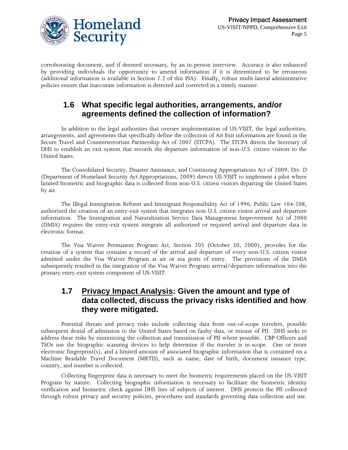

corroborating document, and if deemed necessary, by an in-person interview. Accuracy is also enhanced by providing individuals the opportunity to amend information if it is determined to be erroneous (additional information is available in Section 7.2 of this PIA). Finally, robust multi-lateral administrative policies ensure that inaccurate information is detected and corrected in a timely manner.

#### **1.6 What specific legal authorities, arrangements, and/or agreements defined the collection of information?**

In addition to the legal authorities that oversee implementation of US-VISIT, the legal authorities, arrangements, and agreements that specifically define the collection of Air Exit information are found in the Secure Travel and Counterterrorism Partnership Act of 2007 (STCPA). The STCPA directs the Secretary of DHS to establish an exit system that records the departure information of non-U.S. citizen visitors to the United States.

The Consolidated Security, Disaster Assistance, and Continuing Appropriations Act of 2009, Div. D (Department of Homeland Security Act Appropriations, 2009) directs US-VISIT to implement a pilot where limited biometric and biographic data is collected from non-U.S. citizen visitors departing the United States by air.

The Illegal Immigration Reform and Immigrant Responsibility Act of 1996, Public Law 104-208, authorized the creation of an entry-exit system that integrates non-U.S. citizen visitor arrival and departure information. The Immigration and Naturalization Service Data Management Improvement Act of 2000 (DMIA) requires the entry-exit system integrate all authorized or required arrival and departure data in electronic format.

The Visa Waiver Permanent Program Act, Section 205 (October 30, 2000), provides for the creation of a system that contains a record of the arrival and departure of every non-U.S. citizen visitor admitted under the Visa Waiver Program at air or sea ports of entry. The provisions of the DMIA subsequently resulted in the integration of the Visa Waiver Program arrival/departure information into the primary entry-exit system component of US-VISIT.

#### **1.7 Privacy Impact Analysis: Given the amount and type of data collected, discuss the privacy risks identified and how they were mitigated.**

Potential threats and privacy risks include collecting data from out-of-scope travelers, possible subsequent denial of admission to the United States based on faulty data, or misuse of PII. DHS seeks to address these risks by minimizing the collection and transmission of PII where possible. CBP Officers and TSOs use the biographic scanning devices to help determine if the traveler is in-scope. One or more electronic fingerprint(s), and a limited amount of associated biographic information that is contained on a Machine Readable Travel Document (MRTD), such as name, date of birth, document issuance type, country, and number is collected.

Collecting fingerprint data is necessary to meet the biometric requirements placed on the US-VISIT Program by statute. Collecting biographic information is necessary to facilitate the biometric identity verification and biometric check against DHS lists of subjects of interest. DHS protects the PII collected through robust privacy and security policies, procedures and standards governing data collection and use.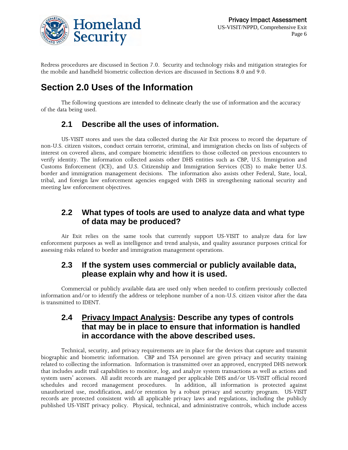

Redress procedures are discussed in Section 7.0. Security and technology risks and mitigation strategies for the mobile and handheld biometric collection devices are discussed in Sections 8.0 and 9.0.

## **Section 2.0 Uses of the Information**

The following questions are intended to delineate clearly the use of information and the accuracy of the data being used.

#### **2.1 Describe all the uses of information.**

US-VISIT stores and uses the data collected during the Air Exit process to record the departure of non-U.S. citizen visitors, conduct certain terrorist, criminal, and immigration checks on lists of subjects of interest on covered aliens, and compare biometric identifiers to those collected on previous encounters to verify identity. The information collected assists other DHS entities such as CBP, U.S. Immigration and Customs Enforcement (ICE), and U.S. Citizenship and Immigration Services (CIS) to make better U.S. border and immigration management decisions. The information also assists other Federal, State, local, tribal, and foreign law enforcement agencies engaged with DHS in strengthening national security and meeting law enforcement objectives.

#### **2.2 What types of tools are used to analyze data and what type of data may be produced?**

Air Exit relies on the same tools that currently support US-VISIT to analyze data for law enforcement purposes as well as intelligence and trend analysis, and quality assurance purposes critical for assessing risks related to border and immigration management operations.

#### **2.3 If the system uses commercial or publicly available data, please explain why and how it is used.**

Commercial or publicly available data are used only when needed to confirm previously collected information and/or to identify the address or telephone number of a non-U.S. citizen visitor after the data is transmitted to IDENT.

#### **2.4 Privacy Impact Analysis: Describe any types of controls that may be in place to ensure that information is handled in accordance with the above described uses.**

Technical, security, and privacy requirements are in place for the devices that capture and transmit biographic and biometric information. CBP and TSA personnel are given privacy and security training related to collecting the information. Information is transmitted over an approved, encrypted DHS network that includes audit trail capabilities to monitor, log, and analyze system transactions as well as actions and system users' accesses. All audit records are managed per applicable DHS and/or US-VISIT official record schedules and record management procedures. In addition, all information is protected against unauthorized use, modification, and/or retention by a robust privacy and security program. US-VISIT records are protected consistent with all applicable privacy laws and regulations, including the publicly published US-VISIT privacy policy. Physical, technical, and administrative controls, which include access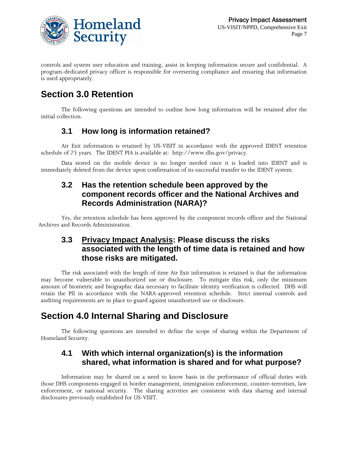

controls and system user education and training, assist in keeping information secure and confidential. A program-dedicated privacy officer is responsible for overseeing compliance and ensuring that information is used appropriately.

## **Section 3.0 Retention**

The following questions are intended to outline how long information will be retained after the initial collection.

#### **3.1 How long is information retained?**

Air Exit information is retained by US-VISIT in accordance with the approved IDENT retention schedule of 75 years. The IDENT PIA is available at: http:/[/www.dhs.gov/privacy](http://www.dhs.gov/privacy).

Data stored on the mobile device is no longer needed once it is loaded into IDENT and is immediately deleted from the device upon confirmation of its successful transfer to the IDENT system.

#### **3.2 Has the retention schedule been approved by the component records officer and the National Archives and Records Administration (NARA)?**

Yes, the retention schedule has been approved by the component records officer and the National Archives and Records Administration.

#### **3.3 Privacy Impact Analysis: Please discuss the risks associated with the length of time data is retained and how those risks are mitigated.**

The risk associated with the length of time Air Exit information is retained is that the information may become vulnerable to unauthorized use or disclosure. To mitigate this risk, only the minimum amount of biometric and biographic data necessary to facilitate identity verification is collected. DHS will retain the PII in accordance with the NARA-approved retention schedule. Strict internal controls and auditing requirements are in place to guard against unauthorized use or disclosure.

## **Section 4.0 Internal Sharing and Disclosure**

The following questions are intended to define the scope of sharing within the Department of Homeland Security.

#### **4.1 With which internal organization(s) is the information shared, what information is shared and for what purpose?**

Information may be shared on a need to know basis in the performance of official duties with those DHS components engaged in border management, immigration enforcement, counter-terrorism, law enforcement, or national security. The sharing activities are consistent with data sharing and internal disclosures previously established for US-VISIT.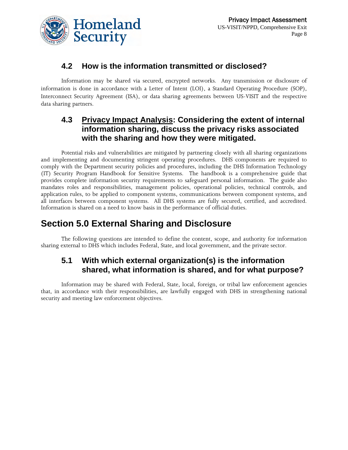

#### **4.2 How is the information transmitted or disclosed?**

Information may be shared via secured, encrypted networks. Any transmission or disclosure of information is done in accordance with a Letter of Intent (LOI), a Standard Operating Procedure (SOP), Interconnect Security Agreement (ISA), or data sharing agreements between US-VISIT and the respective data sharing partners.

#### **4.3 Privacy Impact Analysis: Considering the extent of internal information sharing, discuss the privacy risks associated with the sharing and how they were mitigated.**

Potential risks and vulnerabilities are mitigated by partnering closely with all sharing organizations and implementing and documenting stringent operating procedures. DHS components are required to comply with the Department security policies and procedures, including the DHS Information Technology (IT) Security Program Handbook for Sensitive Systems. The handbook is a comprehensive guide that provides complete information security requirements to safeguard personal information. The guide also mandates roles and responsibilities, management policies, operational policies, technical controls, and application rules, to be applied to component systems, communications between component systems, and all interfaces between component systems. All DHS systems are fully secured, certified, and accredited. Information is shared on a need to know basis in the performance of official duties.

## **Section 5.0 External Sharing and Disclosure**

The following questions are intended to define the content, scope, and authority for information sharing external to DHS which includes Federal, State, and local government, and the private sector.

#### **5.1 With which external organization(s) is the information shared, what information is shared, and for what purpose?**

Information may be shared with Federal, State, local, foreign, or tribal law enforcement agencies that, in accordance with their responsibilities, are lawfully engaged with DHS in strengthening national security and meeting law enforcement objectives.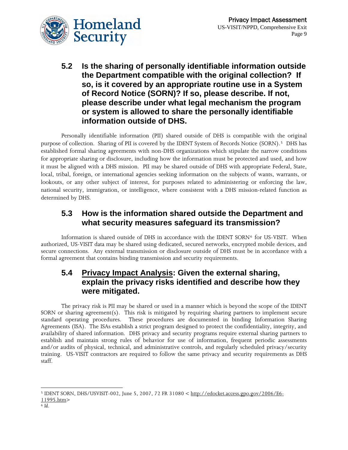

**5.2 Is the sharing of personally identifiable information outside the Department compatible with the original collection? If so, is it covered by an appropriate routine use in a System of Record Notice (SORN)? If so, please describe. If not, please describe under what legal mechanism the program or system is allowed to share the personally identifiable information outside of DHS.** 

Personally identifiable information (PII) shared outside of DHS is compatible with the original purpose of collection. Sharing of PII is covered by the IDENT System of Records Notice (SORN).[5](#page-8-0) DHS has established formal sharing agreements with non-DHS organizations which stipulate the narrow conditions for appropriate sharing or disclosure, including how the information must be protected and used, and how it must be aligned with a DHS mission. PII may be shared outside of DHS with appropriate Federal, State, local, tribal, foreign, or international agencies seeking information on the subjects of wants, warrants, or lookouts, or any other subject of interest, for purposes related to administering or enforcing the law, national security, immigration, or intelligence, where consistent with a DHS mission-related function as determined by DHS.

#### **5.3 How is the information shared outside the Department and what security measures safeguard its transmission?**

Information is shared outside of DHS in accordance with the IDENT SORN<sup>[6](#page-8-1)</sup> for US-VISIT. When authorized, US-VISIT data may be shared using dedicated, secured networks, encrypted mobile devices, and secure connections. Any external transmission or disclosure outside of DHS must be in accordance with a formal agreement that contains binding transmission and security requirements.

#### **5.4 Privacy Impact Analysis: Given the external sharing, explain the privacy risks identified and describe how they were mitigated.**

The privacy risk is PII may be shared or used in a manner which is beyond the scope of the IDENT SORN or sharing agreement(s). This risk is mitigated by requiring sharing partners to implement secure standard operating procedures. These procedures are documented in binding Information Sharing Agreements (ISA). The ISAs establish a strict program designed to protect the confidentiality, integrity, and availability of shared information. DHS privacy and security programs require external sharing partners to establish and maintain strong rules of behavior for use of information, frequent periodic assessments and/or audits of physical, technical, and administrative controls, and regularly scheduled privacy/security training. US-VISIT contractors are required to follow the same privacy and security requirements as DHS staff.

<span id="page-8-0"></span> $\overline{a}$ 5 IDENT SORN, DHS/USVISIT-002, June 5, 2007, 72 FR 31080 < http://edocket.access.gpo.gov/2006/E6- 11995.htm> 6 *Id*.

<span id="page-8-1"></span>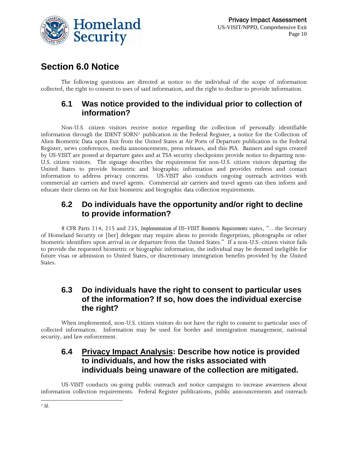

### **Section 6.0 Notice**

The following questions are directed at notice to the individual of the scope of information collected, the right to consent to uses of said information, and the right to decline to provide information.

#### **6.1 Was notice provided to the individual prior to collection of information?**

Non-U.S. citizen visitors receive notice regarding the collection of personally identifiable information through the IDENT SORN[7](#page-9-0) publication in the Federal Register, a notice for the Collection of Alien Biometric Data upon Exit from the United States at Air Ports of Departure publication in the Federal Register, news conferences, media announcements, press releases, and this PIA. Banners and signs created by US-VISIT are posted at departure gates and at TSA security checkpoints provide notice to departing non-U.S. citizen visitors. The signage describes the requirement for non-U.S. citizen visitors departing the United States to provide biometric and biographic information and provides redress and contact information to address privacy concerns. US-VISIT also conducts ongoing outreach activities with commercial air carriers and travel agents. Commercial air carriers and travel agents can then inform and educate their clients on Air Exit biometric and biographic data collection requirements.

#### **6.2 Do individuals have the opportunity and/or right to decline to provide information?**

8 CFR Parts 214, 215 and 235, *Implementation of US–VISIT Biometric Requirements* states, "…the Secretary of Homeland Security or [her] delegate may require aliens to provide fingerprints, photographs or other biometric identifiers upon arrival in or departure from the United States." If a non-U.S.-citizen visitor fails to provide the requested biometric or biographic information, the individual may be deemed ineligible for future visas or admission to United States, or discretionary immigration benefits provided by the United States.

#### **6.3 Do individuals have the right to consent to particular uses of the information? If so, how does the individual exercise the right?**

When implemented, non-U.S. citizen visitors do not have the right to consent to particular uses of collected information. Information may be used for border and immigration management, national security, and law enforcement.

#### **6.4 Privacy Impact Analysis: Describe how notice is provided to individuals, and how the risks associated with individuals being unaware of the collection are mitigated.**

<span id="page-9-0"></span>US-VISIT conducts on-going public outreach and notice campaigns to increase awareness about information collection requirements. Federal Register publications, public announcements and outreach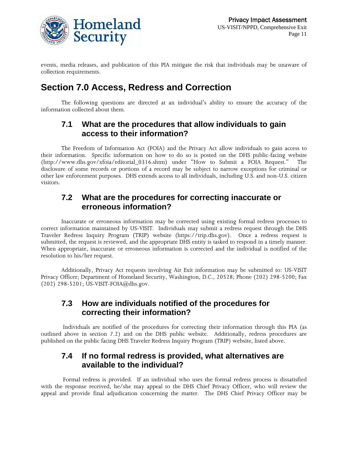

events, media releases, and publication of this PIA mitigate the risk that individuals may be unaware of collection requirements.

## **Section 7.0 Access, Redress and Correction**

The following questions are directed at an individual's ability to ensure the accuracy of the information collected about them.

#### **7.1 What are the procedures that allow individuals to gain access to their information?**

The Freedom of Information Act (FOIA) and the Privacy Act allow individuals to gain access to their information. Specific information on how to do so is posted on the DHS public-facing website (http://www.dhs.gov/xfoia/editorial\_0316.shtm) under "How to Submit a FOIA Request." The disclosure of some records or portions of a record may be subject to narrow exceptions for criminal or other law enforcement purposes. DHS extends access to all individuals, including U.S. and non-U.S. citizen visitors.

#### **7.2 What are the procedures for correcting inaccurate or erroneous information?**

Inaccurate or erroneous information may be corrected using existing formal redress processes to correct information maintained by US-VISIT. Individuals may submit a redress request through the DHS Traveler Redress Inquiry Program (TRIP) website (https://trip.dhs.gov). Once a redress request is submitted, the request is reviewed, and the appropriate DHS entity is tasked to respond in a timely manner. When appropriate, inaccurate or erroneous information is corrected and the individual is notified of the resolution to his/her request.

Additionally, Privacy Act requests involving Air Exit information may be submitted to: US-VISIT Privacy Officer; Department of Homeland Security, Washington, D.C., 20528; Phone (202) 298-5200; Fax (202) 298-5201; US-VISIT-FOIA@dhs.gov.

#### **7.3 How are individuals notified of the procedures for correcting their information?**

 Individuals are notified of the procedures for correcting their information through this PIA (as outlined above in section 7.2) and on the DHS public website. Additionally, redress procedures are published on the public facing DHS Traveler Redress Inquiry Program (TRIP) website, [listed](https://trip.dhs.gov/) above.

#### **7.4 If no formal redress is provided, what alternatives are available to the individual?**

 Formal redress is provided. If an individual who uses the formal redress process is dissatisfied with the response received, he/she may appeal to the DHS Chief Privacy Officer, who will review the appeal and provide final adjudication concerning the matter. The DHS Chief Privacy Officer may be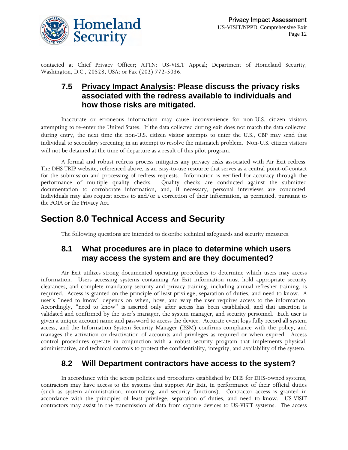

contacted at Chief Privacy Officer; ATTN: US-VISIT Appeal; Department of Homeland Security; Washington, D.C., 20528, USA; or Fax (202) 772-5036.

#### **7.5 Privacy Impact Analysis: Please discuss the privacy risks associated with the redress available to individuals and how those risks are mitigated.**

Inaccurate or erroneous information may cause inconvenience for non-U.S. citizen visitors attempting to re-enter the United States. If the data collected during exit does not match the data collected during entry, the next time the non-U.S. citizen visitor attempts to enter the U.S., CBP may send that individual to secondary screening in an attempt to resolve the mismatch problem. Non-U.S. citizen visitors will not be detained at the time of departure as a result of this pilot program.

A formal and robust redress process mitigates any privacy risks associated with Air Exit redress. The DHS TRIP website, referenced above, is an easy-to-use resource that serves as a central point-of-contact for the submission and processing of redress requests. Information is verified for accuracy through the performance of multiple quality checks. Quality checks are conducted against the submitted documentation to corroborate information, and, if necessary, personal interviews are conducted. Individuals may also request access to and/or a correction of their information, as permitted, pursuant to the FOIA or the Privacy Act.

### **Section 8.0 Technical Access and Security**

The following questions are intended to describe technical safeguards and security measures.

#### **8.1 What procedures are in place to determine which users may access the system and are they documented?**

Air Exit utilizes strong documented operating procedures to determine which users may access information. Users accessing systems containing Air Exit information must hold appropriate security clearances, and complete mandatory security and privacy training, including annual refresher training, is required. Access is granted on the principle of least privilege, separation of duties, and need to know. A user's "need to know" depends on when, how, and why the user requires access to the information. Accordingly, "need to know" is asserted only after access has been established, and that assertion is validated and confirmed by the user's manager, the system manager, and security personnel. Each user is given a unique account name and password to access the device. Accurate event logs fully record all system access, and the Information System Security Manager (ISSM) confirms compliance with the policy, and manages the activation or deactivation of accounts and privileges as required or when expired. Access control procedures operate in conjunction with a robust security program that implements physical, administrative, and technical controls to protect the confidentiality, integrity, and availability of the system.

#### **8.2 Will Department contractors have access to the system?**

In accordance with the access policies and procedures established by DHS for DHS-owned systems, contractors may have access to the systems that support Air Exit, in performance of their official duties (such as system administration, monitoring, and security functions). Contractor access is granted in accordance with the principles of least privilege, separation of duties, and need to know. US-VISIT contractors may assist in the transmission of data from capture devices to US-VISIT systems. The access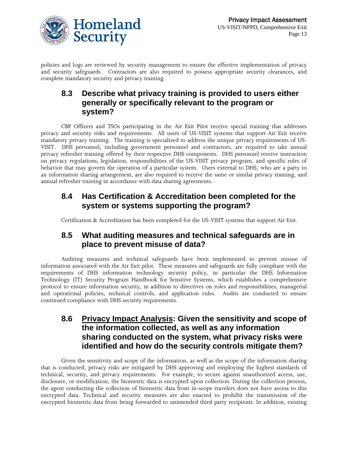

policies and logs are reviewed by security management to ensure the effective implementation of privacy and security safeguards. Contractors are also required to possess appropriate security clearances, and complete mandatory security and privacy training.

#### **8.3 Describe what privacy training is provided to users either generally or specifically relevant to the program or system?**

CBP Officers and TSOs participating in the Air Exit Pilot receive special training that addresses privacy and security risks and requirements. All users of US-VISIT systems that support Air Exit receive mandatory privacy training. The training is specialized to address the unique privacy requirements of US-VISIT. DHS personnel, including government personnel and contractors, are required to take annual privacy refresher training offered by their respective DHS components. DHS personnel receive instruction on privacy regulations, legislation, responsibilities of the US-VISIT privacy program, and specific rules of behavior that may govern the operation of a particular system. Users external to DHS, who are a party to an information sharing arrangement, are also required to receive the same or similar privacy training, and annual refresher training in accordance with data sharing agreements.

#### **8.4 Has Certification & Accreditation been completed for the system or systems supporting the program?**

Certification & Accreditation has been completed for the US-VISIT systems that support Air Exit.

#### **8.5 What auditing measures and technical safeguards are in place to prevent misuse of data?**

Auditing measures and technical safeguards have been implemented to prevent misuse of information associated with the Air Exit pilot. These measures and safeguards are fully compliant with the requirements of DHS information technology security policy, in particular the DHS Information Technology (IT) Security Program Handbook for Sensitive Systems, which establishes a comprehensive protocol to ensure information security, in addition to directives on roles and responsibilities, managerial and operational policies, technical controls, and application rules. Audits are conducted to ensure continued compliance with DHS security requirements.

#### **8.6 Privacy Impact Analysis: Given the sensitivity and scope of the information collected, as well as any information sharing conducted on the system, what privacy risks were identified and how do the security controls mitigate them?**

Given the sensitivity and scope of the information, as well as the scope of the information sharing that is conducted, privacy risks are mitigated by DHS approving and employing the highest standards of technical, security, and privacy requirements. For example, to secure against unauthorized access, use, disclosure, or modification, the biometric data is encrypted upon collection. During the collection process, the agent conducting the collection of biometric data from in-scope travelers does not have access to this encrypted data. Technical and security measures are also enacted to prohibit the transmission of the encrypted biometric data from being forwarded to unintended third party recipients. In addition, existing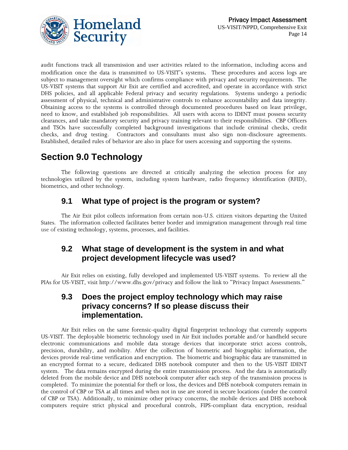



audit functions track all transmission and user activities related to the information, including access and modification once the data is transmitted to US-VISIT's systems. These procedures and access logs are subject to management oversight which confirms compliance with privacy and security requirements. The US-VISIT systems that support Air Exit are certified and accredited, and operate in accordance with strict DHS policies, and all applicable Federal privacy and security regulations. Systems undergo a periodic assessment of physical, technical and administrative controls to enhance accountability and data integrity. Obtaining access to the systems is controlled through documented procedures based on least privilege, need to know, and established job responsibilities. All users with access to IDENT must possess security clearances, and take mandatory security and privacy training relevant to their responsibilities. CBP Officers and TSOs have successfully completed background investigations that include criminal checks, credit checks, and drug testing. Contractors and consultants must also sign non-disclosure agreements. Established, detailed rules of behavior are also in place for users accessing and supporting the systems.

## **Section 9.0 Technology**

The following questions are directed at critically analyzing the selection process for any technologies utilized by the system, including system hardware, radio frequency identification (RFID), biometrics, and other technology.

#### **9.1 What type of project is the program or system?**

The Air Exit pilot collects information from certain non-U.S. citizen visitors departing the United States. The information collected facilitates better border and immigration management through real time use of existing technology, systems, processes, and facilities.

#### **9.2 What stage of development is the system in and what project development lifecycle was used?**

Air Exit relies on existing, fully developed and implemented US-VISIT systems. To review all the PIAs for US-VISIT, visit http://[www.dhs.gov/privacy](http://www.dhs.gov/privacy) and follow the link to "Privacy Impact Assessments."

#### **9.3 Does the project employ technology which may raise privacy concerns? If so please discuss their implementation.**

Air Exit relies on the same forensic-quality digital fingerprint technology that currently supports US-VISIT. The deployable biometric technology used in Air Exit includes portable and/or handheld secure electronic communications and mobile data storage devices that incorporate strict access controls, precision, durability, and mobility. After the collection of biometric and biographic information, the devices provide real-time verification and encryption. The biometric and biographic data are transmitted in an encrypted format to a secure, dedicated DHS notebook computer and then to the US-VISIT IDENT system. The data remains encrypted during the entire transmission process. And the data is automatically deleted from the mobile device and DHS notebook computer after each step of the transmission process is completed. To minimize the potential for theft or loss, the devices and DHS notebook computers remain in the control of CBP or TSA at all times and when not in use are stored in secure locations (under the control of CBP or TSA). Additionally, to minimize other privacy concerns, the mobile devices and DHS notebook computers require strict physical and procedural controls, FIPS-compliant data encryption, residual